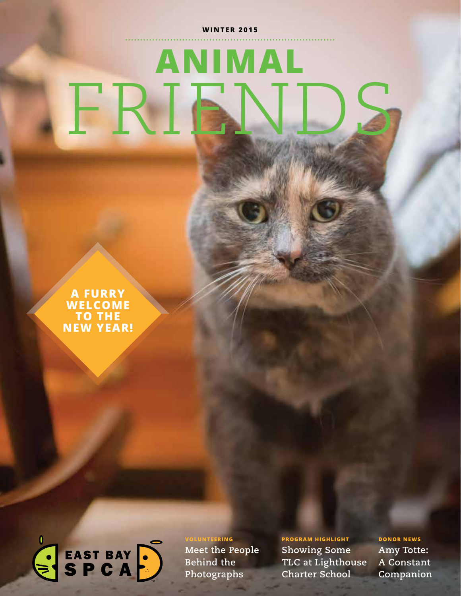#### **WINTER 2015**

# **ANIMAL** FRIENDS

**A FURRY WELCOME TO THE NEW YEAR!**



**VOLUNTEERING Meet the People Behind the Photographs**

**PROGRAM HIGHLIGHT Showing Some TLC at Lighthouse Charter School**

**WINTER 2015 | 1 Companion DONOR NEWS Amy Totte: A Constant**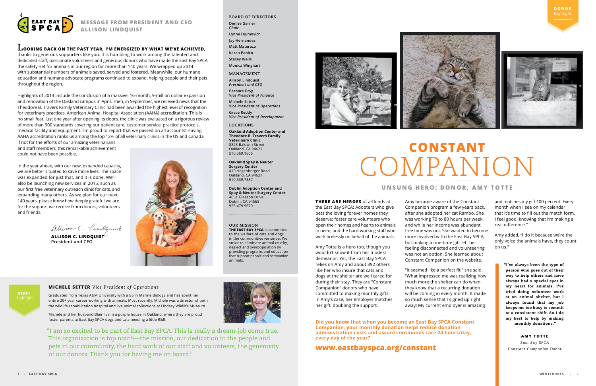

#### **MESSAGE FROM PRESIDENT AND CEO ALLISON LINDQUIST**

#### **LOOKING BACK ON THE PAST YEAR, I'M ENERGIZED BY WHAT WE'VE ACHIEVED,**

thanks to generous supporters like you. It is humbling to work among the talented and dedicated staff, passionate volunteers and generous donors who have made the East Bay SPCA the safety net for animals in our region for more than 140 years. We wrapped up 2014 with substantial numbers of animals saved, served and fostered. Meanwhile, our humane education and humane advocate programs continued to expand, helping people and their pets throughout the region.

ALLISON C. LINDQUIST $^{\mathcal{O}}$ **President and CEO**



Highlights of 2014 include the conclusion of a massive, 16-month, 9-million dollar expansion and renovation of the Oakland campus in April. Then, in September, we received news that the Theodore B. Travers Family Veterinary Clinic had been awarded the highest level of recognition for veterinary practices, American Animal Hospital Association (AAHA) accreditation. This is no small feat. Just one year after opening its doors, the clinic was evaluated on a rigorous review of more than 900 standards covering our patient care, customer service, practice protocols, medical facility and equipment. I'm proud to report that we passed on all accounts! Having AAHA accreditation ranks us among the top 12% of all veterinary clinics in the US and Canada.

If not for the efforts of our amazing veterinarians and staff members, this remarkable achievement could not have been possible.

In the year ahead, with our new, expanded capacity, we are better situated to save more lives. The space was expanded for just that, and it is done. We'll also be launching new services in 2015, such as our first free veterinary outreach clinic for cats, and expanding many others. As we plan for our next 140 years, please know how deeply grateful we are for the support we receive from donors, volunteers and friends.

allison C. Lindquist

#### **BOARD OF DIRECTORS**

**Denise Garner** *Chair* **Lynne Dujmovich Jay Hernandez**

**Matt Materazo**

**Karen Panico**

**Stacey Wells**

**Monica Winghart** 

**MANAGEMENT**

**Allison Lindquist** *President and CEO*

**Barbara Dryg** *Vice President of Finance* **Michele Setter**

*Vice President of Operations* **Grace Reddy**

*Vice President of Development*

**LOCATIONS**

**Oakland Adoption Center and Theodore B. Travers Family Veterinary Clinic**  8323 Baldwin Street Oakland, CA 94621 510.569.1606

**Oakland Spay & Neuter Surgery Center** 410 Hegenberger Road Oakland, CA 94621 510.639.7387

**Dublin Adoption Center and Spay & Neuter Surgery Center** 4651 Gleason Drive Dublin, CA 94568 925.479.9670

**THERE ARE HEROES** of all kinds at the East Bay SPCA: Adopters who give pets the loving forever homes they deserve; foster care volunteers who open their homes and hearts to animals in need; and the hard-working staff who work tirelessly on behalf of the animals.

Amy Totte is a hero too, though you wouldn't know it from her modest demeanor. Yet, the East Bay SPCA relies on Amy and about 392 others like her who insure that cats and dogs at the shelter are well cared for during their stay. They are "Constant Companion" donors who have committed to making monthly gifts. In Amy's case, her employer matches her gift, doubling the support.

Amy became aware of the Constant Companion program a few years back, after she adopted her cat Rambo. She was working 70 to 80 hours per week, and while her income was abundant, free time was not. She wanted to become more involved with the East Bay SPCA, but making a one-time gift left her feeling disconnected and volunteering was not an option. She learned about Constant Companion on the website. "It seemed like a perfect fit," she said. "What impressed me was realizing how

much more the shelter can do when they know that a recurring donation will be coming in every month. It made so much sense that I signed up right away! My current employer is amazing

and matches my gift 100 percent. Every month when I see on my calendar that it's time to fill out the match form, I feel good, knowing that I'm making a real difference."

Amy added, "I do it because we're the only voice the animals have, they count on us."

## **CONSTANT** COMPANION

#### **UNSUNG HERO: DONOR, AMY TOTTE**

#### **OUR MISSION**

**THE EAST BAY SPCA** is committed to the welfare of cats and dogs in the communities we serve. We strive to eliminate animal cruelty, neglect and overpopulation by providing programs and education that support people and companion animals.



"I've always been the type of person who goes out of their way to help others and have always had a special spot in my heart for animals. I've tried doing volunteer work at an animal shelter, but I always found that my job keeps me too busy to commit to a consistent shift. So I do my best to help by making monthly donations."

#### **AMY TOTTE**

*East Bay SPCA Constant Companion Donor*



Graduated from Texas A&M University with a BS in Marine Biology and has spent her entire 20+ year career working with animals. Most recently, Michele was a director of both the wildlife rehabilitation hospital and live animal collections at Lindsay Wildlife Museum.

Michele and her husband Blair live in a purple house in Oakland, where they are proud foster parents to East Bay SPCA dogs and cats needing a little R&R.

**MICHELE SETTER** *Vice President of Operations*

"I am so excited to be part of East Bay SPCA. This is really a dream-job come true. This organization is top notch—the mission, our dedication to the people and pets in our community, the hard work of our staff and volunteers, the generosity of our donors. Thank you for having me on board."





**Did you know that when you become an East Bay SPCA Constant Companion, your monthly donation helps reduce donation administration costs and assure continuous care 24 hours/day, every day of the year?** 

**www.eastbayspca.org/constant**

**STAFF**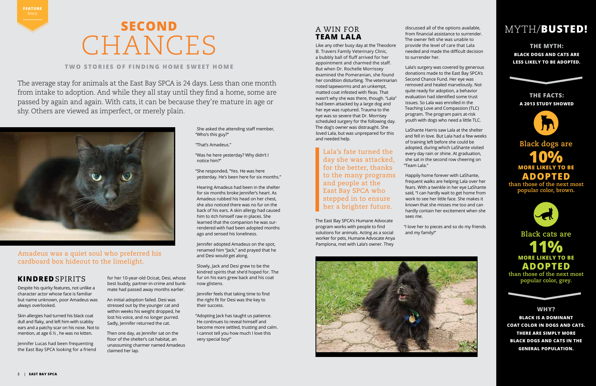Like any other busy day at the Theodore B. Travers Family Veterinary Clinic, a bubbly ball of fluff arrived for her appointment and charmed the staff. But when Dr. Rochelle Morrissey examined the Pomeranian, she found her condition disturbing. The veterinarian noted tapeworms and an unkempt, matted coat infested with fleas. That wasn't why she was there, though. "Lala" had been attacked by a large dog and her eye was ruptured. Trauma to the eye was so severe that Dr. Morrisey scheduled surgery for the following day. The dog's owner was distraught. She loved Lala, but was unprepared for this and needed help.

The East Bay SPCA's Humane Advocate program works with people to find solutions for animals. Acting as a social worker for pets, Humane Advocate Anya Pamplona, met with Lala's owner. They

discussed all of the options available, from financial assistance to surrender. The owner felt she was unable to provide the level of care that Lala needed and made the difficult decision to surrender her.

Lala's surgery was covered by generous donations made to the East Bay SPCA's Second Chance Fund. Her eye was removed and healed marvelously. Not quite ready for adoption, a behavior evaluation had identified some trust issues. So Lala was enrolled in the Teaching Love and Compassion (TLC) program. The program pairs at-risk youth with dogs who need a little TLC.

LaShante Harris saw Lala at the shelter and fell in love. But Lala had a few weeks of training left before she could be adopted, during which LaShante visited every day rain or shine. At graduation, she sat in the second row cheering on "Team Lala."

Happily home forever with LaShante, frequent walks are helping Lala over her fears. With a twinkle in her eye LaShante said, "I can hardly wait to get home from work to see her little face. She makes it known that she misses me too and can hardly contain her excitement when she

sees me.

"I love her to pieces and so do my friends and my family!"



Despite his quirky features, not unlike a character actor whose face is familiar but name unknown, poor Amadeus was always overlooked.

Skin allergies had turned his black coat dull and flaky, and left him with scabby ears and a patchy scar on his nose. Not to mention, at age 6 ½ , he was no kitten.

Jennifer Lucas had been frequenting the East Bay SPCA looking for a friend for her 10-year-old Ocicat, Desi, whose best buddy, partner-in-crime and bunkmate had passed away months earlier.

An initial adoption failed. Desi was stressed out by the younger cat and within weeks his weight dropped, he lost his voice, and no longer purred. Sadly, Jennifer returned the cat.

Then one day, as Jennifer sat on the floor of the shelter's cat habitat, an unassuming charmer named Amadeus claimed her lap.

She asked the attending staff member, "Who's this guy?"

"That's Amadeus."

"Was he here yesterday? Why didn't I notice him?"

"She responded, "Yes. He was here yesterday. He's been here for six months."

Hearing Amadeus had been in the shelter for six months broke Jennifer's heart. As Amadeus rubbed his head on her chest, she also noticed there was no fur on the back of his ears. A skin allergy had caused him to itch himself raw in places. She learned that the companion he was surrendered with had been adopted months ago and sensed his loneliness.

Jennifer adopted Amadeus on the spot, renamed him "Jack," and prayed that he and Desi would get along.

Slowly, Jack and Desi grew to be the kindred spirits that she'd hoped for. The fur on his ears grew back and his coat now glistens.

Jennifer feels that taking time to find the right fit for Desi was the key to their success.

"Adopting Jack has taught us patience. He continues to reveal himself and become more settled, trusting and calm. I cannot tell you how much I love this very special boy!"

Lala's fate turned the day she was attacked, for the better, thanks to the many programs and people at the East Bay SPCA who stepped in to ensure her a brighter future.

#### **KINDRED** SPIRITS

Amadeus was a quiet soul who preferred his cardboard box hideout to the limelight.

### MYTH/**BUSTED!**

**THE MYTH:** 

**BLACK DOGS AND CATS ARE LESS LIKELY TO BE ADOPTED.** 

#### **THE FACTS: A 2013 STUDY SHOWED**



**Black dogs are**

**MORE LIKELY TO BE 10% ADOPTED**

**than those of the next most popular color, brown.**



#### **Black cats are**

**MORE LIKELY TO BE 11% ADOPTED** 

**than those of the next most popular color, grey.**

#### **WHY?**

**BLACK IS A DOMINANT COAT COLOR IN DOGS AND CATS. THERE ARE SIMPLY MORE BLACK DOGS AND CATS IN THE GENERAL POPULATION.** 

#### A WIN FOR **TEAM LALA**

## **SECOND** CHANCES

#### **TWO STORIES OF FINDING HOME SWEET HOME**

The average stay for animals at the East Bay SPCA is 24 days. Less than one month from intake to adoption. And while they all stay until they find a home, some are passed by again and again. With cats, it can be because they're mature in age or shy. Others are viewed as imperfect, or merely plain.



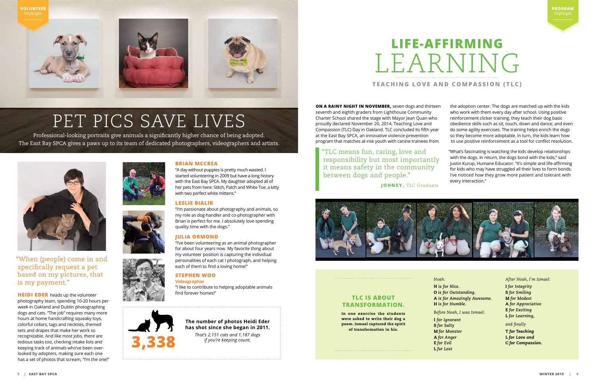"When (people) come in and specifically request a pet based on my pictures, that is my payment."

**HEIDI EDER** heads up the volunteer photography team, spending 10-20 hours per week in Oakland and Dublin photographing dogs and cats. "The job" requires many more hours at home handcrafting squeaky toys, colorful collars, tags and neckties, themed sets and drapes that make her work so recognizable. And like most jobs, there are tedious tasks too, checking intake lists and keeping track of animals who've been overlooked by adopters, making sure each one has a set of photos that scream, "I'm the one!"







#### **BRIAN MCCREA**

"A day without puppies is pretty much wasted. I started volunteering in 2009 but have a long history with the East Bay SPCA. My daughter adopted all of her pets from here: Stitch, Patch and White Toe, a kitty with two perfect white mittens."

#### **LESLIE BIALIK**

"I'm passionate about photography and animals, so my role as dog-handler and co-photographer with Brian is perfect for me. I absolutely love spending quality time with the dogs."

#### **JULIA ORMOND**

"I've been volunteering as an animal photographer for about four years now. My favorite thing about my volunteer position is capturing the individual personalities of each cat I photograph, and helping each of them to find a loving home!"

#### **STEPHEN WOO**

**Videographer**

"I like to contribute to helping adoptable animals find forever homes!"





#### **The number of photos Heidi Eder has shot since she began in 2011.**

*That's 2,151 cats and 1,187 dogs if you're keeping count.* 



## PET PICS SAVE LIVES

Professional-looking portraits give animals a significantly higher chance of being adopted. The East Bay SPCA gives a paws up to its team of dedicated photographers, videographers and artists.



**ON A RAINY NIGHT IN NOVEMBER,** seven dogs and thirteen seventh and eighth graders from Lighthouse Community Charter School shared the stage with Mayor Jean Quan who proudly declared November 20, 2014, Teaching Love and Compassion (TLC) Day in Oakland. TLC concluded its fifth year at the East Bay SPCA, an innovative violence-prevention program that matches at-risk youth with canine trainees from

- 
- the adoption center. The dogs are matched up with the kids who work with them every day after school. Using positive reinforcement clicker training, they teach their dog basic obedience skills such as sit, touch, down and dance; and even do some agility exercises. The training helps enrich the dogs so they become more adoptable. In turn, the kids learn how to use positive reinforcement as a tool for conflict resolution.
- "What's fascinating is watching the kids develop relationships with the dogs. In return, the dogs bond with the kids," said Justin Kurup, Humane Educator. "It's simple and life-affirming for kids who may have struggled all their lives to form bonds. I've noticed how they grow more patient and tolerant with every interaction."

### **LIFE-AFFIRMING** LEARNING **TEACHING LOVE AND COMPASSION (TLC)**

*After Noah, I'm Ismael:*

I *for Integrity* S *for Smiling* M *for Modest* A *for Appreciative* E *for Exciting* L *for Learning,* 

*and finally*

T *for Teaching* L *for Love and* C *for Compassion.*

*Noah:* N *is for Nice.*  O *is for Outstanding.*  A *is for Amazingly Awesome.*  H *is for Humble.* 

*Before Noah, I was Ismael:*

I *for Ignorant* S *for Salty* M *for Monster* A *for Anger* E *for Evil* L *for Lost*

"TLC means fun, caring, love and responsibility but most importantly it means safety in the community between dogs and people."

 **JOHNSY,** *TLC Graduate*



#### **TLC IS ABOUT TRANSFORMATION.**

In one exercise the students were asked to write their dog a poem. Ismael captured the spirit of transformation in his.